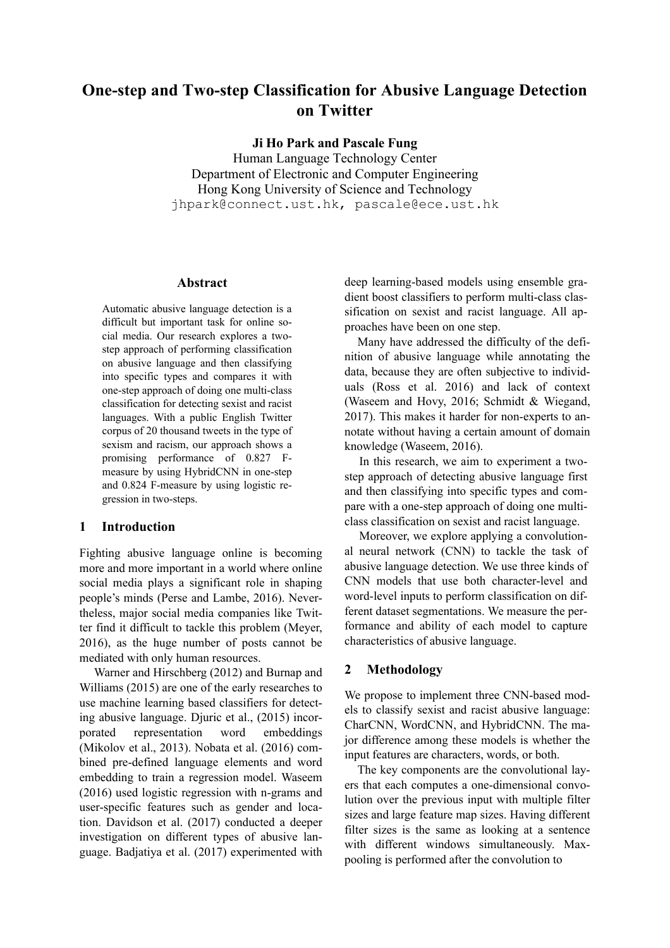# **One-step and Two-step Classification for Abusive Language Detection on Twitter**

**Ji Ho Park and Pascale Fung**

Human Language Technology Center Department of Electronic and Computer Engineering Hong Kong University of Science and Technology jhpark@connect.ust.hk, pascale@ece.ust.hk

### **Abstract**

Automatic abusive language detection is a difficult but important task for online social media. Our research explores a twostep approach of performing classification on abusive language and then classifying into specific types and compares it with one-step approach of doing one multi-class classification for detecting sexist and racist languages. With a public English Twitter corpus of 20 thousand tweets in the type of sexism and racism, our approach shows a promising performance of 0.827 Fmeasure by using HybridCNN in one-step and 0.824 F-measure by using logistic regression in two-steps.

## **1 Introduction**

Fighting abusive language online is becoming more and more important in a world where online social media plays a significant role in shaping people's minds (Perse and Lambe, 2016). Nevertheless, major social media companies like Twitter find it difficult to tackle this problem (Meyer, 2016), as the huge number of posts cannot be mediated with only human resources.

Warner and Hirschberg (2012) and Burnap and Williams (2015) are one of the early researches to use machine learning based classifiers for detecting abusive language. Djuric et al., (2015) incorporated representation word embeddings (Mikolov et al., 2013). Nobata et al. (2016) combined pre-defined language elements and word embedding to train a regression model. Waseem (2016) used logistic regression with n-grams and user-specific features such as gender and location. Davidson et al. (2017) conducted a deeper investigation on different types of abusive language. Badjatiya et al. (2017) experimented with deep learning-based models using ensemble gradient boost classifiers to perform multi-class classification on sexist and racist language. All approaches have been on one step.

Many have addressed the difficulty of the definition of abusive language while annotating the data, because they are often subjective to individuals (Ross et al. 2016) and lack of context (Waseem and Hovy, 2016; Schmidt & Wiegand, 2017). This makes it harder for non-experts to annotate without having a certain amount of domain knowledge (Waseem, 2016).

In this research, we aim to experiment a twostep approach of detecting abusive language first and then classifying into specific types and compare with a one-step approach of doing one multiclass classification on sexist and racist language.

Moreover, we explore applying a convolutional neural network (CNN) to tackle the task of abusive language detection. We use three kinds of CNN models that use both character-level and word-level inputs to perform classification on different dataset segmentations. We measure the performance and ability of each model to capture characteristics of abusive language.

## **2 Methodology**

We propose to implement three CNN-based models to classify sexist and racist abusive language: CharCNN, WordCNN, and HybridCNN. The major difference among these models is whether the input features are characters, words, or both.

The key components are the convolutional layers that each computes a one-dimensional convolution over the previous input with multiple filter sizes and large feature map sizes. Having different filter sizes is the same as looking at a sentence with different windows simultaneously. Maxpooling is performed after the convolution to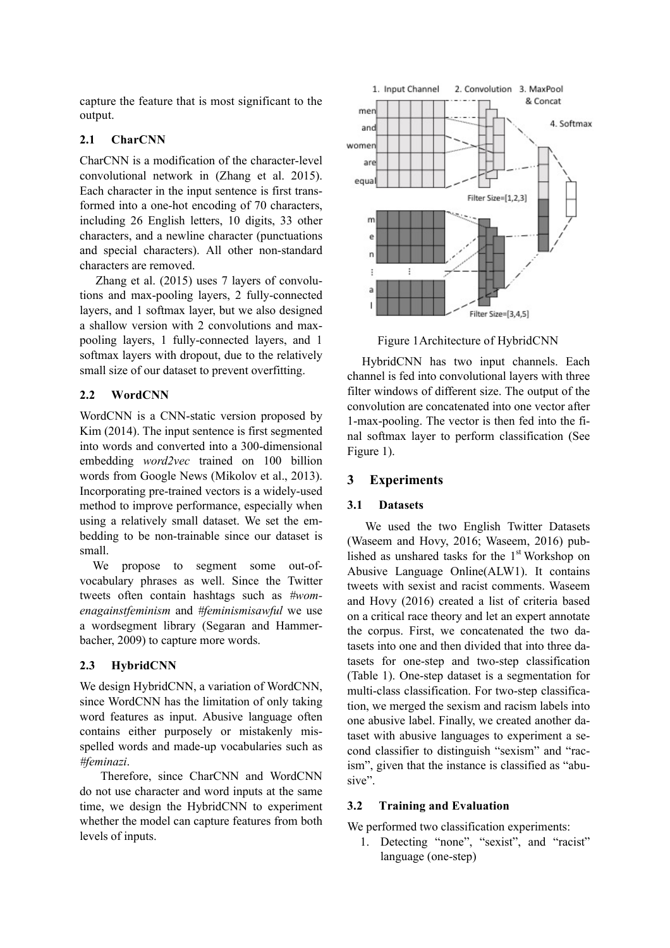capture the feature that is most significant to the output.

## **2.1 CharCNN**

CharCNN is a modification of the character-level convolutional network in (Zhang et al. 2015). Each character in the input sentence is first transformed into a one-hot encoding of 70 characters, including 26 English letters, 10 digits, 33 other characters, and a newline character (punctuations and special characters). All other non-standard characters are removed.

Zhang et al. (2015) uses 7 layers of convolutions and max-pooling layers, 2 fully-connected layers, and 1 softmax layer, but we also designed a shallow version with 2 convolutions and maxpooling layers, 1 fully-connected layers, and 1 softmax layers with dropout, due to the relatively small size of our dataset to prevent overfitting.

#### **2.2 WordCNN**

WordCNN is a CNN-static version proposed by Kim (2014). The input sentence is first segmented into words and converted into a 300-dimensional embedding *word2vec* trained on 100 billion words from Google News (Mikolov et al., 2013). Incorporating pre-trained vectors is a widely-used method to improve performance, especially when using a relatively small dataset. We set the embedding to be non-trainable since our dataset is small.

We propose to segment some out-ofvocabulary phrases as well. Since the Twitter tweets often contain hashtags such as *#womenagainstfeminism* and *#feminismisawful* we use a wordsegment library (Segaran and Hammerbacher, 2009) to capture more words.

#### **2.3 HybridCNN**

We design HybridCNN, a variation of WordCNN, since WordCNN has the limitation of only taking word features as input. Abusive language often contains either purposely or mistakenly misspelled words and made-up vocabularies such as *#feminazi*.

 Therefore, since CharCNN and WordCNN do not use character and word inputs at the same time, we design the HybridCNN to experiment whether the model can capture features from both levels of inputs.



Figure 1Architecture of HybridCNN

HybridCNN has two input channels. Each channel is fed into convolutional layers with three filter windows of different size. The output of the convolution are concatenated into one vector after 1-max-pooling. The vector is then fed into the final softmax layer to perform classification (See Figure 1).

## **3 Experiments**

#### **3.1 Datasets**

We used the two English Twitter Datasets (Waseem and Hovy, 2016; Waseem, 2016) published as unshared tasks for the  $1<sup>st</sup>$  Workshop on Abusive Language Online(ALW1). It contains tweets with sexist and racist comments. Waseem and Hovy (2016) created a list of criteria based on a critical race theory and let an expert annotate the corpus. First, we concatenated the two datasets into one and then divided that into three datasets for one-step and two-step classification (Table 1). One-step dataset is a segmentation for multi-class classification. For two-step classification, we merged the sexism and racism labels into one abusive label. Finally, we created another dataset with abusive languages to experiment a second classifier to distinguish "sexism" and "racism", given that the instance is classified as "abusive".

## **3.2 Training and Evaluation**

We performed two classification experiments:

1. Detecting "none", "sexist", and "racist" language (one-step)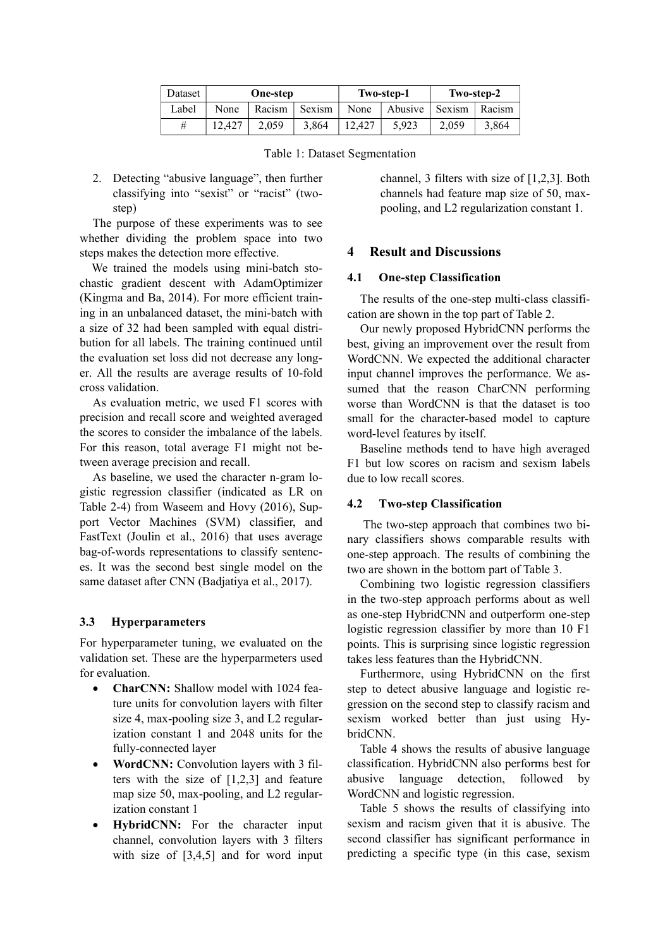| Dataset | <b>One-step</b> |        |            |        | Two-step-1       | Two-step-2 |        |  |
|---------|-----------------|--------|------------|--------|------------------|------------|--------|--|
| Label   | None            | Racism | . Sexism ' | None   | Abusive   Sexism |            | Racism |  |
| #       | 12.427          | 2.059  | 3.864      | 12.427 | 5.923            | 2,059      | 3.864  |  |

Table 1: Dataset Segmentation

2. Detecting "abusive language", then further classifying into "sexist" or "racist" (twostep)

The purpose of these experiments was to see whether dividing the problem space into two steps makes the detection more effective.

 We trained the models using mini-batch stochastic gradient descent with AdamOptimizer (Kingma and Ba, 2014). For more efficient training in an unbalanced dataset, the mini-batch with a size of 32 had been sampled with equal distribution for all labels. The training continued until the evaluation set loss did not decrease any longer. All the results are average results of 10-fold cross validation.

As evaluation metric, we used F1 scores with precision and recall score and weighted averaged the scores to consider the imbalance of the labels. For this reason, total average F1 might not between average precision and recall.

As baseline, we used the character n-gram logistic regression classifier (indicated as LR on Table 2-4) from Waseem and Hovy (2016), Support Vector Machines (SVM) classifier, and FastText (Joulin et al., 2016) that uses average bag-of-words representations to classify sentences. It was the second best single model on the same dataset after CNN (Badjatiya et al., 2017).

#### **3.3 Hyperparameters**

For hyperparameter tuning, we evaluated on the validation set. These are the hyperparmeters used for evaluation.

- **CharCNN:** Shallow model with 1024 feature units for convolution layers with filter size 4, max-pooling size 3, and L2 regularization constant 1 and 2048 units for the fully-connected layer
- **WordCNN:** Convolution layers with 3 filters with the size of [1,2,3] and feature map size 50, max-pooling, and L2 regularization constant 1
- **HybridCNN:** For the character input channel, convolution layers with 3 filters with size of  $[3,4,5]$  and for word input

channel, 3 filters with size of [1,2,3]. Both channels had feature map size of 50, maxpooling, and L2 regularization constant 1.

### **4 Result and Discussions**

#### **4.1 One-step Classification**

The results of the one-step multi-class classification are shown in the top part of Table 2.

Our newly proposed HybridCNN performs the best, giving an improvement over the result from WordCNN. We expected the additional character input channel improves the performance. We assumed that the reason CharCNN performing worse than WordCNN is that the dataset is too small for the character-based model to capture word-level features by itself.

Baseline methods tend to have high averaged F1 but low scores on racism and sexism labels due to low recall scores.

#### **4.2 Two-step Classification**

The two-step approach that combines two binary classifiers shows comparable results with one-step approach. The results of combining the two are shown in the bottom part of Table 3.

Combining two logistic regression classifiers in the two-step approach performs about as well as one-step HybridCNN and outperform one-step logistic regression classifier by more than 10 F1 points. This is surprising since logistic regression takes less features than the HybridCNN.

Furthermore, using HybridCNN on the first step to detect abusive language and logistic regression on the second step to classify racism and sexism worked better than just using HybridCNN.

Table 4 shows the results of abusive language classification. HybridCNN also performs best for abusive language detection, followed by WordCNN and logistic regression.

Table 5 shows the results of classifying into sexism and racism given that it is abusive. The second classifier has significant performance in predicting a specific type (in this case, sexism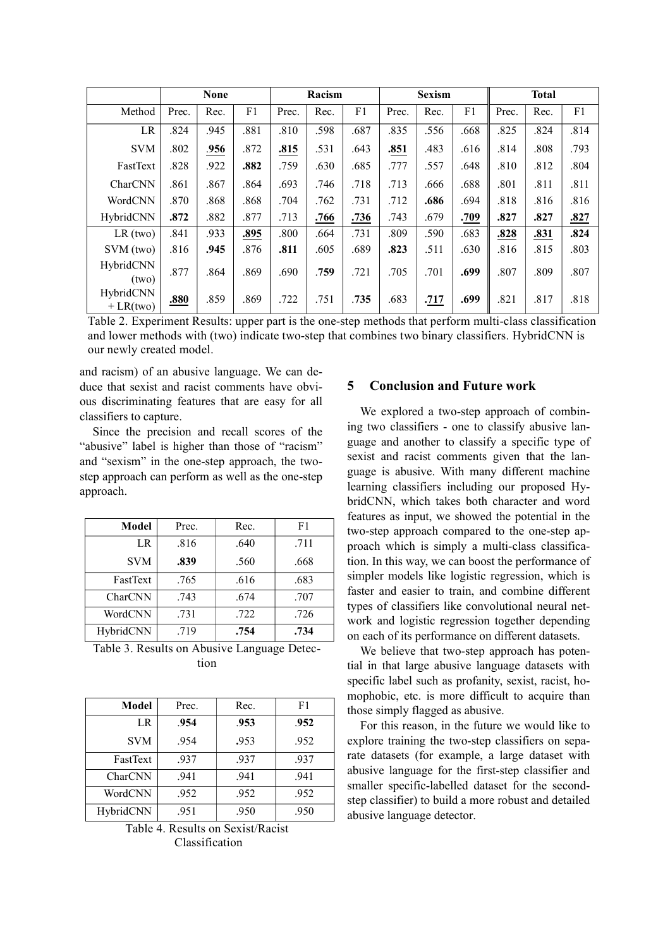|                         |       | <b>None</b> |      |       | Racism |      |       | <b>Sexism</b> |      |       | <b>Total</b> |                |
|-------------------------|-------|-------------|------|-------|--------|------|-------|---------------|------|-------|--------------|----------------|
| Method                  | Prec. | Rec.        | F1   | Prec. | Rec.   | F1   | Prec. | Rec.          | F1   | Prec. | Rec.         | F <sub>1</sub> |
| LR                      | .824  | .945        | .881 | .810  | .598   | .687 | .835  | .556          | .668 | .825  | .824         | .814           |
| <b>SVM</b>              | .802  | .956        | .872 | .815  | .531   | .643 | .851  | .483          | .616 | .814  | .808         | .793           |
| FastText                | .828  | .922        | .882 | .759  | .630   | .685 | .777  | .557          | .648 | .810  | .812         | .804           |
| CharCNN                 | .861  | .867        | .864 | .693  | .746   | .718 | .713  | .666          | .688 | .801  | .811         | .811           |
| WordCNN                 | .870  | .868        | .868 | .704  | .762   | .731 | .712  | .686          | .694 | .818  | .816         | .816           |
| HybridCNN               | .872  | .882        | .877 | .713  | .766   | .736 | .743  | .679          | .709 | .827  | .827         | .827           |
| $LR$ (two)              | .841  | .933        | .895 | .800  | .664   | .731 | .809  | .590          | .683 | .828  | .831         | .824           |
| SVM (two)               | .816  | .945        | .876 | .811  | .605   | .689 | .823  | .511          | .630 | .816  | .815         | .803           |
| HybridCNN<br>(two)      | .877  | .864        | .869 | .690  | .759   | .721 | .705  | .701          | .699 | .807  | .809         | .807           |
| HybridCNN<br>$+LR(two)$ | .880  | .859        | .869 | .722  | .751   | .735 | .683  | .717          | .699 | .821  | .817         | .818           |

Table 2. Experiment Results: upper part is the one-step methods that perform multi-class classification and lower methods with (two) indicate two-step that combines two binary classifiers. HybridCNN is our newly created model.

and racism) of an abusive language. We can deduce that sexist and racist comments have obvious discriminating features that are easy for all classifiers to capture.

Since the precision and recall scores of the "abusive" label is higher than those of "racism" and "sexism" in the one-step approach, the twostep approach can perform as well as the one-step approach.

| Model      | Prec. | Rec. | F1   |
|------------|-------|------|------|
| LR         | .816  | .640 | .711 |
| <b>SVM</b> | .839  | .560 | .668 |
| FastText   | .765  | .616 | .683 |
| CharCNN    | .743  | .674 | .707 |
| WordCNN    | .731  | .722 | .726 |
| HybridCNN  | .719  | .754 | .734 |

Table 3. Results on Abusive Language Detection

| Model          | Prec. | Rec. | F1   |
|----------------|-------|------|------|
| L <sub>R</sub> | .954  | .953 | .952 |
| <b>SVM</b>     | .954  | .953 | .952 |
| FastText       | .937  | .937 | .937 |
| CharCNN        | .941  | .941 | .941 |
| WordCNN        | .952  | .952 | .952 |
| HybridCNN      | .951  | .950 | .950 |

Table 4. Results on Sexist/Racist Classification

## **5 Conclusion and Future work**

We explored a two-step approach of combining two classifiers - one to classify abusive language and another to classify a specific type of sexist and racist comments given that the language is abusive. With many different machine learning classifiers including our proposed HybridCNN, which takes both character and word features as input, we showed the potential in the two-step approach compared to the one-step approach which is simply a multi-class classification. In this way, we can boost the performance of simpler models like logistic regression, which is faster and easier to train, and combine different types of classifiers like convolutional neural network and logistic regression together depending on each of its performance on different datasets.

We believe that two-step approach has potential in that large abusive language datasets with specific label such as profanity, sexist, racist, homophobic, etc. is more difficult to acquire than those simply flagged as abusive.

For this reason, in the future we would like to explore training the two-step classifiers on separate datasets (for example, a large dataset with abusive language for the first-step classifier and smaller specific-labelled dataset for the secondstep classifier) to build a more robust and detailed abusive language detector.